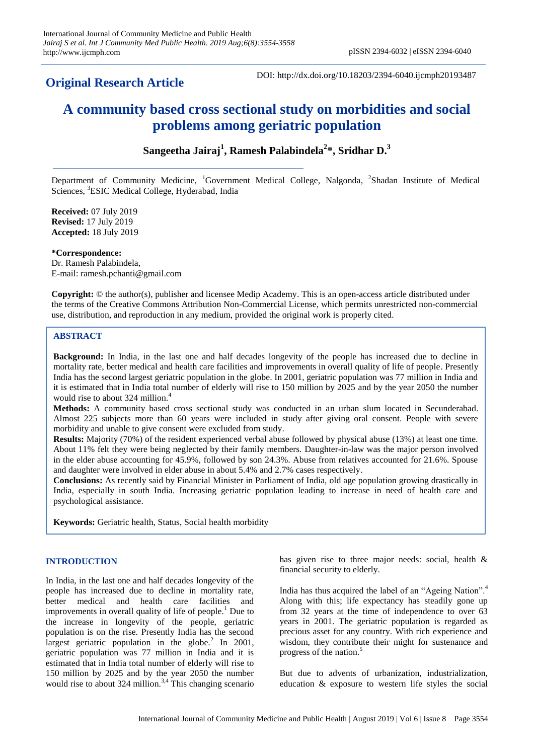# **Original Research Article**

DOI: http://dx.doi.org/10.18203/2394-6040.ijcmph20193487

# **A community based cross sectional study on morbidities and social problems among geriatric population**

# **Sangeetha Jairaj<sup>1</sup> , Ramesh Palabindela<sup>2</sup> \*, Sridhar D. 3**

Department of Community Medicine, <sup>1</sup>Government Medical College, Nalgonda, <sup>2</sup>Shadan Institute of Medical Sciences, <sup>3</sup>ESIC Medical College, Hyderabad, India

**Received:** 07 July 2019 **Revised:** 17 July 2019 **Accepted:** 18 July 2019

**\*Correspondence:**

Dr. Ramesh Palabindela, E-mail: ramesh.pchanti@gmail.com

**Copyright:** © the author(s), publisher and licensee Medip Academy. This is an open-access article distributed under the terms of the Creative Commons Attribution Non-Commercial License, which permits unrestricted non-commercial use, distribution, and reproduction in any medium, provided the original work is properly cited.

# **ABSTRACT**

**Background:** In India, in the last one and half decades longevity of the people has increased due to decline in mortality rate, better medical and health care facilities and improvements in overall quality of life of people. Presently India has the second largest geriatric population in the globe. In 2001, geriatric population was 77 million in India and it is estimated that in India total number of elderly will rise to 150 million by 2025 and by the year 2050 the number would rise to about 324 million.<sup>4</sup>

**Methods:** A community based cross sectional study was conducted in an urban slum located in Secunderabad. Almost 225 subjects more than 60 years were included in study after giving oral consent. People with severe morbidity and unable to give consent were excluded from study.

**Results:** Majority (70%) of the resident experienced verbal abuse followed by physical abuse (13%) at least one time. About 11% felt they were being neglected by their family members. Daughter-in-law was the major person involved in the elder abuse accounting for 45.9%, followed by son 24.3%. Abuse from relatives accounted for 21.6%. Spouse and daughter were involved in elder abuse in about 5.4% and 2.7% cases respectively.

**Conclusions:** As recently said by Financial Minister in Parliament of India, old age population growing drastically in India, especially in south India. Increasing geriatric population leading to increase in need of health care and psychological assistance.

**Keywords:** Geriatric health, Status, Social health morbidity

# **INTRODUCTION**

In India, in the last one and half decades longevity of the people has increased due to decline in mortality rate, better medical and health care facilities and improvements in overall quality of life of people.<sup>1</sup> Due to the increase in longevity of the people, geriatric population is on the rise. Presently India has the second largest geriatric population in the globe.<sup>2</sup> In 2001, geriatric population was 77 million in India and it is estimated that in India total number of elderly will rise to 150 million by 2025 and by the year 2050 the number would rise to about  $324$  million.<sup>3,4</sup> This changing scenario has given rise to three major needs: social, health & financial security to elderly.

India has thus acquired the label of an "Ageing Nation".<sup>4</sup> Along with this; life expectancy has steadily gone up from 32 years at the time of independence to over 63 years in 2001. The geriatric population is regarded as precious asset for any country. With rich experience and wisdom, they contribute their might for sustenance and progress of the nation.<sup>5</sup>

But due to advents of urbanization, industrialization, education & exposure to western life styles the social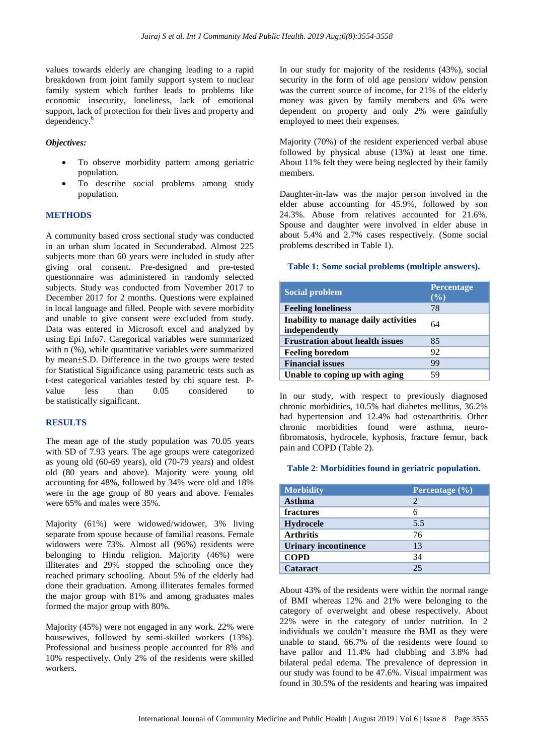values towards elderly are changing leading to a rapid breakdown from joint family support system to nuclear family system which further leads to problems like economic insecurity, loneliness, lack of emotional support, lack of protection for their lives and property and dependency.<sup>6</sup>

## *Objectives:*

- To observe morbidity pattern among geriatric population.
- To describe social problems among study population.

# **METHODS**

A community based cross sectional study was conducted in an urban slum located in Secunderabad. Almost 225 subjects more than 60 years were included in study after giving oral consent. Pre-designed and pre-tested questionnaire was administered in randomly selected subjects. Study was conducted from November 2017 to December 2017 for 2 months. Questions were explained in local language and filled. People with severe morbidity and unable to give consent were excluded from study. Data was entered in Microsoft excel and analyzed by using Epi Info7. Categorical variables were summarized with n  $(\%)$ , while quantitative variables were summarized by mean±S.D. Difference in the two groups were tested for Statistical Significance using parametric tests such as t-test categorical variables tested by chi square test. Pvalue less than 0.05 considered to be statistically significant.

#### **RESULTS**

The mean age of the study population was 70.05 years with SD of 7.93 years. The age groups were categorized as young old (60-69 years), old (70-79 years) and oldest old (80 years and above). Majority were young old accounting for 48%, followed by 34% were old and 18% were in the age group of 80 years and above. Females were 65% and males were 35%.

Majority (61%) were widowed/widower, 3% living separate from spouse because of familial reasons. Female widowers were 73%. Almost all (96%) residents were belonging to Hindu religion. Majority (46%) were illiterates and 29% stopped the schooling once they reached primary schooling. About 5% of the elderly had done their graduation. Among illiterates females formed the major group with 81% and among graduates males formed the major group with 80%.

Majority (45%) were not engaged in any work. 22% were housewives, followed by semi-skilled workers (13%). Professional and business people accounted for 8% and 10% respectively. Only 2% of the residents were skilled workers.

In our study for majority of the residents (43%), social security in the form of old age pension/ widow pension was the current source of income, for 21% of the elderly money was given by family members and 6% were dependent on property and only 2% were gainfully employed to meet their expenses.

Majority (70%) of the resident experienced verbal abuse followed by physical abuse (13%) at least one time. About 11% felt they were being neglected by their family members.

Daughter-in-law was the major person involved in the elder abuse accounting for 45.9%, followed by son 24.3%. Abuse from relatives accounted for 21.6%. Spouse and daughter were involved in elder abuse in about 5.4% and 2.7% cases respectively. (Some social problems described in Table 1).

#### **Table 1: Some social problems (multiple answers).**

| <b>Social problem</b>                                 | <b>Percentage</b><br>(%) |
|-------------------------------------------------------|--------------------------|
| <b>Feeling loneliness</b>                             | 78                       |
| Inability to manage daily activities<br>independently | 64                       |
| <b>Frustration about health issues</b>                | 85                       |
| <b>Feeling boredom</b>                                | 92                       |
| <b>Financial issues</b>                               | 99                       |
| Unable to coping up with aging                        | 59                       |

In our study, with respect to previously diagnosed chronic morbidities, 10.5% had diabetes mellitus, 36.2% had hypertension and 12.4% had osteoarthritis. Other chronic morbidities found were asthma, neurofibromatosis, hydrocele, kyphosis, fracture femur, back pain and COPD (Table 2).

#### **Table 2**: **Morbidities found in geriatric population.**

| <b>Morbidity</b>            | Percentage $(\% )$ |
|-----------------------------|--------------------|
| <b>Asthma</b>               | 2                  |
| fractures                   |                    |
| <b>Hydrocele</b>            | 5.5                |
| <b>Arthritis</b>            | 76                 |
| <b>Urinary incontinence</b> | 13                 |
| <b>COPD</b>                 | 34                 |
| <b>Cataract</b>             | 25                 |

About 43% of the residents were within the normal range of BMI whereas 12% and 21% were belonging to the category of overweight and obese respectively. About 22% were in the category of under nutrition. In 2 individuals we couldn't measure the BMI as they were unable to stand. 66.7% of the residents were found to have pallor and 11.4% had clubbing and 3.8% had bilateral pedal edema. The prevalence of depression in our study was found to be 47.6%. Visual impairment was found in 30.5% of the residents and hearing was impaired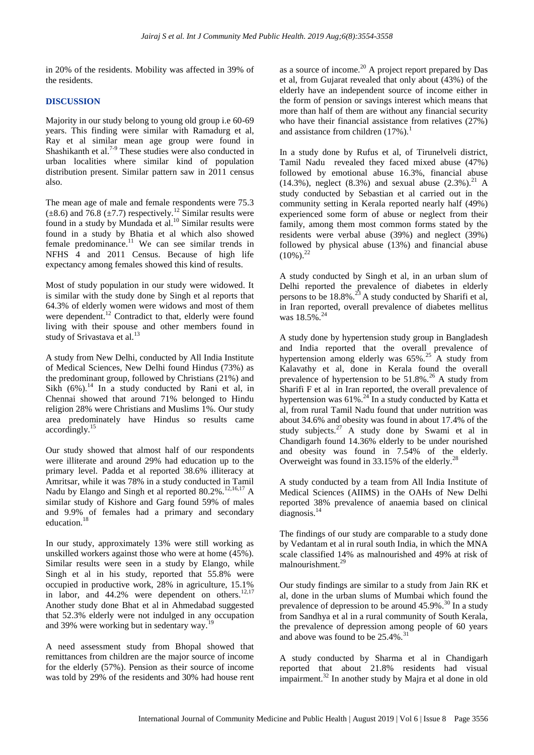in 20% of the residents. Mobility was affected in 39% of the residents.

# **DISCUSSION**

Majority in our study belong to young old group i.e 60-69 years. This finding were similar with Ramadurg et al, Ray et al similar mean age group were found in Shashikanth et al. $7-9$  These studies were also conducted in urban localities where similar kind of population distribution present. Similar pattern saw in 2011 census also.

The mean age of male and female respondents were 75.3  $(\pm 8.6)$  and 76.8 ( $\pm 7.7$ ) respectively.<sup>12</sup> Similar results were found in a study by Mundada et al.<sup>10</sup> Similar results were found in a study by Bhatia et al which also showed female predominance. $11$  We can see similar trends in NFHS 4 and 2011 Census. Because of high life expectancy among females showed this kind of results.

Most of study population in our study were widowed. It is similar with the study done by Singh et al reports that 64.3% of elderly women were widows and most of them were dependent.<sup>12</sup> Contradict to that, elderly were found living with their spouse and other members found in study of Srivastava et al.<sup>13</sup>

A study from New Delhi, conducted by All India Institute of Medical Sciences, New Delhi found Hindus (73%) as the predominant group, followed by Christians (21%) and Sikh  $(6\%)$ .<sup>14</sup> In a study conducted by Rani et al, in Chennai showed that around 71% belonged to Hindu religion 28% were Christians and Muslims 1%. Our study area predominately have Hindus so results came accordingly.<sup>15</sup>

Our study showed that almost half of our respondents were illiterate and around 29% had education up to the primary level. Padda et al reported 38.6% illiteracy at Amritsar, while it was 78% in a study conducted in Tamil Nadu by Elango and Singh et al reported 80.2%.<sup>12,16,17</sup> A similar study of Kishore and Garg found 59% of males and 9.9% of females had a primary and secondary education.<sup>18</sup>

In our study, approximately 13% were still working as unskilled workers against those who were at home (45%). Similar results were seen in a study by Elango, while Singh et al in his study, reported that 55.8% were occupied in productive work, 28% in agriculture, 15.1% in labor, and  $44.2\%$  were dependent on others.<sup>12,17</sup> Another study done Bhat et al in Ahmedabad suggested that 52.3% elderly were not indulged in any occupation and 39% were working but in sedentary way.<sup>1</sup>

A need assessment study from Bhopal showed that remittances from children are the major source of income for the elderly (57%). Pension as their source of income was told by 29% of the residents and 30% had house rent as a source of income.<sup>20</sup> A project report prepared by Das et al, from Gujarat revealed that only about (43%) of the elderly have an independent source of income either in the form of pension or savings interest which means that more than half of them are without any financial security who have their financial assistance from relatives (27%) and assistance from children  $(17\%)$ .<sup>1</sup>

In a study done by Rufus et al, of Tirunelveli district, Tamil Nadu revealed they faced mixed abuse (47%) followed by emotional abuse 16.3%, financial abuse (14.3%), neglect (8.3%) and sexual abuse  $(2.3\%)$ .<sup>21</sup> A study conducted by Sebastian et al carried out in the community setting in Kerala reported nearly half (49%) experienced some form of abuse or neglect from their family, among them most common forms stated by the residents were verbal abuse (39%) and neglect (39%) followed by physical abuse (13%) and financial abuse  $(10\%)$ <sup>22</sup>

A study conducted by Singh et al, in an urban slum of Delhi reported the prevalence of diabetes in elderly persons to be  $18.8\%$ .<sup>23</sup> A study conducted by Sharifi et al, in Iran reported, overall prevalence of diabetes mellitus was 18.5%<sup>24</sup>

A study done by hypertension study group in Bangladesh and India reported that the overall prevalence of hypertension among elderly was  $65\%$ .<sup>25</sup> A study from Kalavathy et al, done in Kerala found the overall prevalence of hypertension to be  $51.8\%$ .<sup>26</sup> A study from Sharifi F et al in Iran reported, the overall prevalence of hypertension was  $61\%$ .<sup>24</sup> In a study conducted by Katta et al, from rural Tamil Nadu found that under nutrition was about 34.6% and obesity was found in about 17.4% of the study subjects. $27$  A study done by Swami et al in Chandigarh found 14.36% elderly to be under nourished and obesity was found in 7.54% of the elderly. Overweight was found in  $33.15\%$  of the elderly.<sup>28</sup>

A study conducted by a team from All India Institute of Medical Sciences (AIIMS) in the OAHs of New Delhi reported 38% prevalence of anaemia based on clinical diagnosis.<sup>14</sup>

The findings of our study are comparable to a study done by Vedantam et al in rural south India, in which the MNA scale classified 14% as malnourished and 49% at risk of malnourishment.<sup>29</sup>

Our study findings are similar to a study from Jain RK et al, done in the urban slums of Mumbai which found the prevalence of depression to be around  $45.9\%$ .<sup>30</sup> In a study from Sandhya et al in a rural community of South Kerala, the prevalence of depression among people of 60 years and above was found to be  $25.4\%$ .<sup>31</sup>

A study conducted by Sharma et al in Chandigarh reported that about 21.8% residents had visual impairment.<sup>32</sup> In another study by Majra et al done in old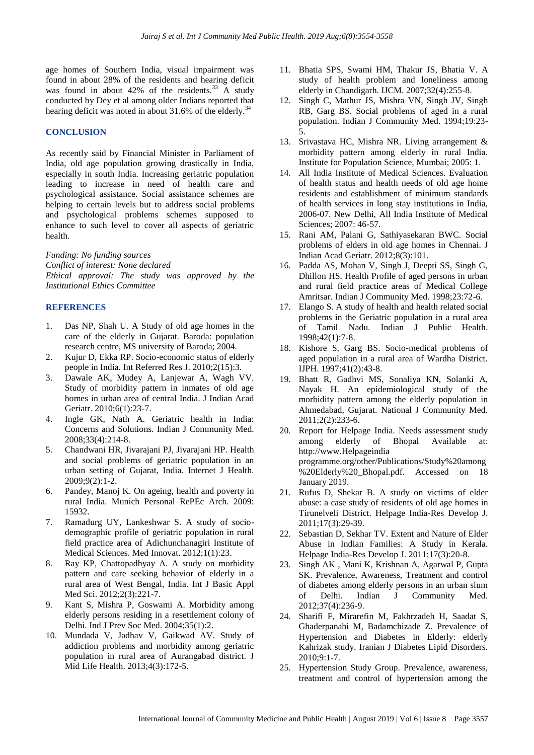age homes of Southern India, visual impairment was found in about 28% of the residents and hearing deficit was found in about  $42\%$  of the residents.<sup>33</sup> A study conducted by Dey et al among older Indians reported that hearing deficit was noted in about  $31.6\%$  of the elderly.<sup>3</sup>

### **CONCLUSION**

As recently said by Financial Minister in Parliament of India, old age population growing drastically in India, especially in south India. Increasing geriatric population leading to increase in need of health care and psychological assistance. Social assistance schemes are helping to certain levels but to address social problems and psychological problems schemes supposed to enhance to such level to cover all aspects of geriatric health.

*Funding: No funding sources Conflict of interest: None declared Ethical approval: The study was approved by the Institutional Ethics Committee*

#### **REFERENCES**

- 1. Das NP, Shah U. A Study of old age homes in the care of the elderly in Gujarat. Baroda: population research centre, MS university of Baroda; 2004.
- 2. Kujur D, Ekka RP. Socio-economic status of elderly people in India. Int Referred Res J. 2010;2(15):3.
- 3. Dawale AK, Mudey A, Lanjewar A, Wagh VV. Study of morbidity pattern in inmates of old age homes in urban area of central India. J Indian Acad Geriatr. 2010;6(1):23-7.
- 4. Ingle GK, Nath A. Geriatric health in India: Concerns and Solutions. Indian J Community Med. 2008;33(4):214-8.
- 5. Chandwani HR, Jivarajani PJ, Jivarajani HP. Health and social problems of geriatric population in an urban setting of Gujarat, India. Internet J Health. 2009;9(2):1-2.
- 6. Pandey, Manoj K. On ageing, health and poverty in rural India. Munich Personal RePEc Arch. 2009: 15932.
- 7. Ramadurg UY, Lankeshwar S. A study of sociodemographic profile of geriatric population in rural field practice area of Adichunchanagiri Institute of Medical Sciences. Med Innovat. 2012;1(1):23.
- 8. Ray KP, Chattopadhyay A. A study on morbidity pattern and care seeking behavior of elderly in a rural area of West Bengal, India. Int J Basic Appl Med Sci. 2012;2(3):221-7.
- 9. Kant S, Mishra P, Goswami A. Morbidity among elderly persons residing in a resettlement colony of Delhi. Ind J Prev Soc Med. 2004;35(1):2.
- 10. Mundada V, Jadhav V, Gaikwad AV. Study of addiction problems and morbidity among geriatric population in rural area of Aurangabad district. J Mid Life Health. 2013;4(3):172-5.
- 11. Bhatia SPS, Swami HM, Thakur JS, Bhatia V. A study of health problem and loneliness among elderly in Chandigarh. IJCM. 2007;32(4):255-8.
- 12. Singh C, Mathur JS, Mishra VN, Singh JV, Singh RB, Garg BS. Social problems of aged in a rural population. Indian J Community Med. 1994;19:23- 5.
- 13. Srivastava HC, Mishra NR. Living arrangement & morbidity pattern among elderly in rural India. Institute for Population Science, Mumbai; 2005: 1.
- 14. All India Institute of Medical Sciences. Evaluation of health status and health needs of old age home residents and establishment of minimum standards of health services in long stay institutions in India, 2006-07. New Delhi, All India Institute of Medical Sciences; 2007: 46-57.
- 15. Rani AM, Palani G, Sathiyasekaran BWC. Social problems of elders in old age homes in Chennai. J Indian Acad Geriatr. 2012;8(3):101.
- 16. Padda AS, Mohan V, Singh J, Deepti SS, Singh G, Dhillon HS. Health Profile of aged persons in urban and rural field practice areas of Medical College Amritsar. Indian J Community Med. 1998;23:72-6.
- 17. Elango S. A study of health and health related social problems in the Geriatric population in a rural area of Tamil Nadu. Indian J Public Health. 1998;42(1):7-8.
- 18. Kishore S, Garg BS. Socio-medical problems of aged population in a rural area of Wardha District. IJPH. 1997;41(2):43-8.
- 19. Bhatt R, Gadhvi MS, Sonaliya KN, Solanki A, Nayak H. An epidemiological study of the morbidity pattern among the elderly population in Ahmedabad, Gujarat. National J Community Med. 2011;2(2):233-6.
- 20. Report for Helpage India. Needs assessment study among elderly of Bhopal Available at: http://www.Helpageindia programme.org/other/Publications/Study%20among %20Elderly%20\_Bhopal.pdf. Accessed on 18 January 2019.
- 21. Rufus D, Shekar B. A study on victims of elder abuse: a case study of residents of old age homes in Tirunelveli District. Helpage India-Res Develop J. 2011;17(3):29-39.
- 22. Sebastian D, Sekhar TV. Extent and Nature of Elder Abuse in Indian Families: A Study in Kerala. Helpage India-Res Develop J. 2011;17(3):20-8.
- 23. Singh AK , Mani K, Krishnan A, Agarwal P, Gupta SK. Prevalence, Awareness, Treatment and control of diabetes among elderly persons in an urban slum of Delhi. Indian J Community Med. 2012;37(4):236-9.
- 24. Sharifi F, Mirarefin M, Fakhrzadeh H, Saadat S, Ghaderpanahi M, Badamchizade Z. Prevalence of Hypertension and Diabetes in Elderly: elderly Kahrizak study. Iranian J Diabetes Lipid Disorders. 2010;9:1-7.
- 25. Hypertension Study Group. Prevalence, awareness, treatment and control of hypertension among the